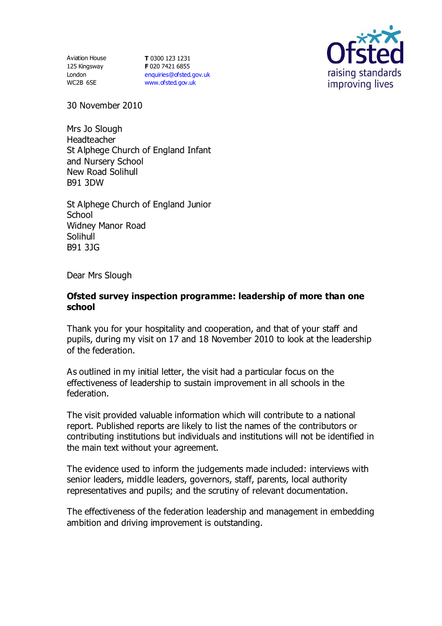Aviation House 125 Kingsway London WC2B 6SE

**T** 0300 123 1231 **F** 020 7421 6855 [enquiries@ofsted.gov.uk](mailto:enquiries@ofsted.gov.uk) [www.ofsted.gov.uk](http://www.ofsted.gov.uk/)



30 November 2010

Mrs Jo Slough Headteacher St Alphege Church of England Infant and Nursery School New Road Solihull B91 3DW

St Alphege Church of England Junior School Widney Manor Road Solihull B91 3JG

Dear Mrs Slough

### **Ofsted survey inspection programme: leadership of more than one school**

Thank you for your hospitality and cooperation, and that of your staff and pupils, during my visit on 17 and 18 November 2010 to look at the leadership of the federation.

As outlined in my initial letter, the visit had a particular focus on the effectiveness of leadership to sustain improvement in all schools in the federation.

The visit provided valuable information which will contribute to a national report. Published reports are likely to list the names of the contributors or contributing institutions but individuals and institutions will not be identified in the main text without your agreement.

The evidence used to inform the judgements made included: interviews with senior leaders, middle leaders, governors, staff, parents, local authority representatives and pupils; and the scrutiny of relevant documentation.

The effectiveness of the federation leadership and management in embedding ambition and driving improvement is outstanding.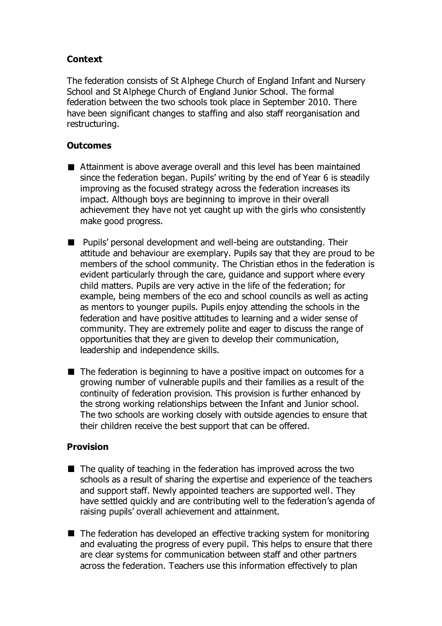# **Context**

The federation consists of St Alphege Church of England Infant and Nursery School and St Alphege Church of England Junior School. The formal federation between the two schools took place in September 2010. There have been significant changes to staffing and also staff reorganisation and restructuring.

## **Outcomes**

- Attainment is above average overall and this level has been maintained since the federation began. Pupils' writing by the end of Year 6 is steadily improving as the focused strategy across the federation increases its impact. Although boys are beginning to improve in their overall achievement they have not yet caught up with the girls who consistently make good progress.
- Pupils' personal development and well-being are outstanding. Their attitude and behaviour are exemplary. Pupils say that they are proud to be members of the school community. The Christian ethos in the federation is evident particularly through the care, guidance and support where every child matters. Pupils are very active in the life of the federation; for example, being members of the eco and school councils as well as acting as mentors to younger pupils. Pupils enjoy attending the schools in the federation and have positive attitudes to learning and a wider sense of community. They are extremely polite and eager to discuss the range of opportunities that they are given to develop their communication, leadership and independence skills.
- $\blacksquare$  The federation is beginning to have a positive impact on outcomes for a growing number of vulnerable pupils and their families as a result of the continuity of federation provision. This provision is further enhanced by the strong working relationships between the Infant and Junior school. The two schools are working closely with outside agencies to ensure that their children receive the best support that can be offered.

## **Provision**

- $\blacksquare$  The quality of teaching in the federation has improved across the two schools as a result of sharing the expertise and experience of the teachers and support staff. Newly appointed teachers are supported well. They have settled quickly and are contributing well to the federation's agenda of raising pupils' overall achievement and attainment.
- The federation has developed an effective tracking system for monitoring and evaluating the progress of every pupil. This helps to ensure that there are clear systems for communication between staff and other partners across the federation. Teachers use this information effectively to plan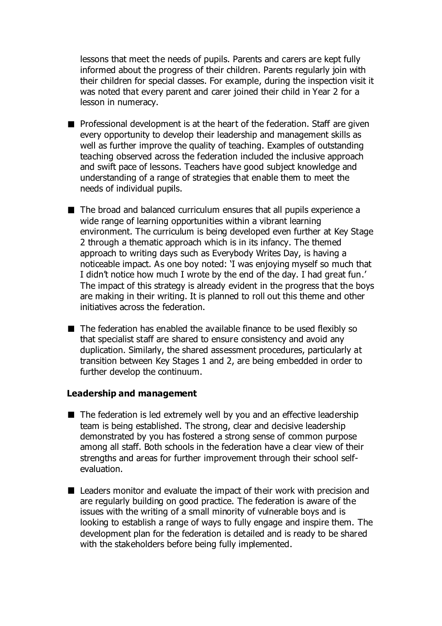lessons that meet the needs of pupils. Parents and carers are kept fully informed about the progress of their children. Parents regularly join with their children for special classes. For example, during the inspection visit it was noted that every parent and carer joined their child in Year 2 for a lesson in numeracy.

- **Professional development is at the heart of the federation. Staff are given** every opportunity to develop their leadership and management skills as well as further improve the quality of teaching. Examples of outstanding teaching observed across the federation included the inclusive approach and swift pace of lessons. Teachers have good subject knowledge and understanding of a range of strategies that enable them to meet the needs of individual pupils.
- The broad and balanced curriculum ensures that all pupils experience a wide range of learning opportunities within a vibrant learning environment. The curriculum is being developed even further at Key Stage 2 through a thematic approach which is in its infancy. The themed approach to writing days such as Everybody Writes Day, is having a noticeable impact. As one boy noted: 'I was enjoying myself so much that I didn't notice how much I wrote by the end of the day. I had great fun.' The impact of this strategy is already evident in the progress that the boys are making in their writing. It is planned to roll out this theme and other initiatives across the federation.
- The federation has enabled the available finance to be used flexibly so that specialist staff are shared to ensure consistency and avoid any duplication. Similarly, the shared assessment procedures, particularly at transition between Key Stages 1 and 2, are being embedded in order to further develop the continuum.

#### **Leadership and management**

- The federation is led extremely well by you and an effective leadership team is being established. The strong, clear and decisive leadership demonstrated by you has fostered a strong sense of common purpose among all staff. Both schools in the federation have a clear view of their strengths and areas for further improvement through their school selfevaluation.
- Leaders monitor and evaluate the impact of their work with precision and are regularly building on good practice. The federation is aware of the issues with the writing of a small minority of vulnerable boys and is looking to establish a range of ways to fully engage and inspire them. The development plan for the federation is detailed and is ready to be shared with the stakeholders before being fully implemented.